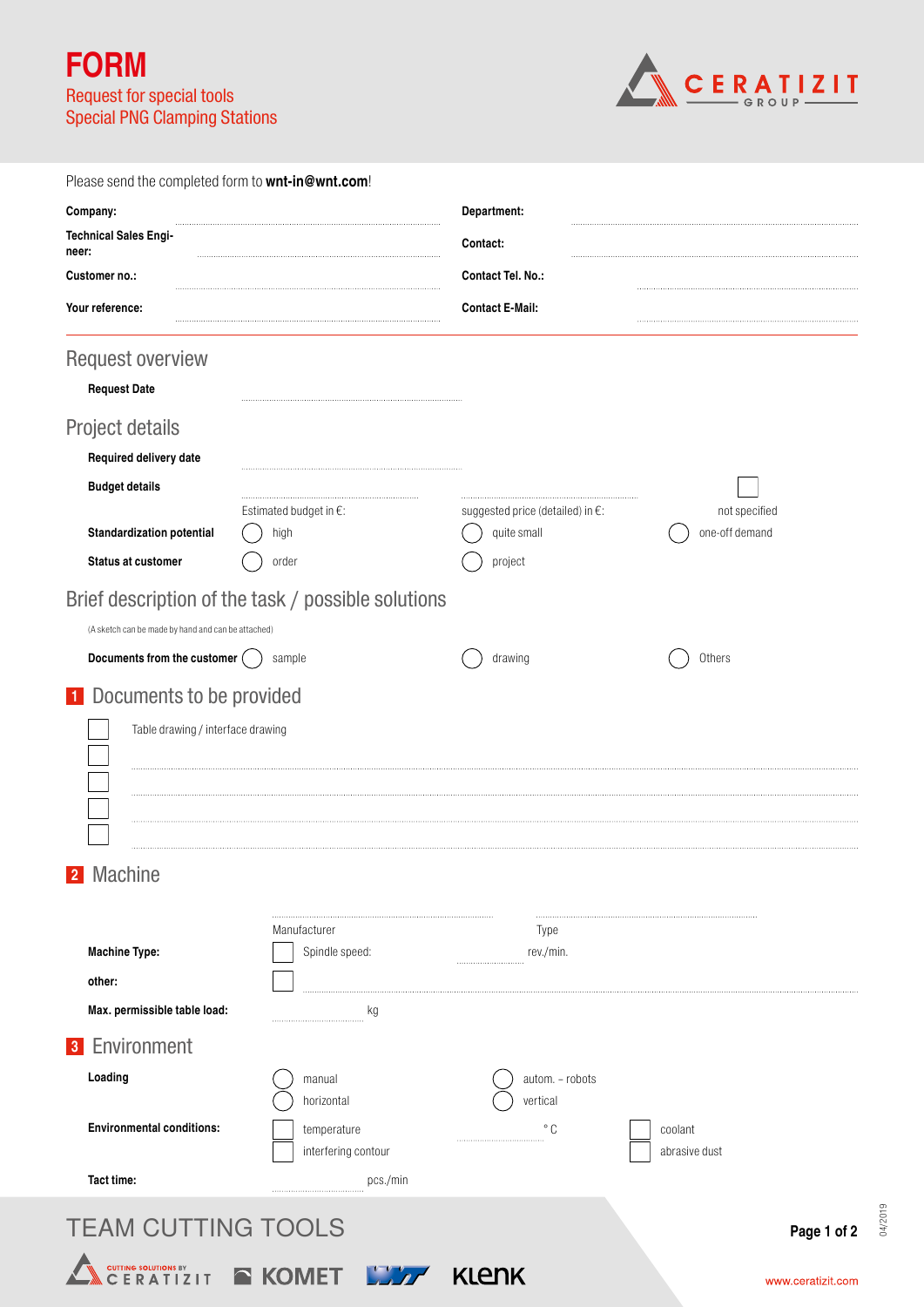**FORM** Request for special tools Special PNG Clamping Stations



| Please send the completed form to wnt-in@wnt.com!  |                                                    |                                            |                   |  |
|----------------------------------------------------|----------------------------------------------------|--------------------------------------------|-------------------|--|
| Company:                                           |                                                    | Department:                                |                   |  |
| <b>Technical Sales Engi-</b><br>neer:              |                                                    | Contact:                                   |                   |  |
| Customer no.:                                      |                                                    | <b>Contact Tel. No.:</b>                   |                   |  |
| Your reference:                                    |                                                    | <b>Contact E-Mail:</b>                     |                   |  |
| <b>Request overview</b>                            |                                                    |                                            |                   |  |
| <b>Request Date</b>                                |                                                    |                                            |                   |  |
| Project details                                    |                                                    |                                            |                   |  |
| Required delivery date                             |                                                    |                                            |                   |  |
| <b>Budget details</b>                              |                                                    |                                            |                   |  |
|                                                    | Estimated budget in $E$ :                          | suggested price (detailed) in $\epsilon$ : | not specified     |  |
| <b>Standardization potential</b>                   | high                                               | quite small                                | one-off demand    |  |
| <b>Status at customer</b>                          | order                                              | project                                    |                   |  |
|                                                    | Brief description of the task / possible solutions |                                            |                   |  |
| (A sketch can be made by hand and can be attached) |                                                    |                                            |                   |  |
| Documents from the customer (                      | sample                                             | drawing                                    | Others            |  |
| 1 Documents to be provided                         |                                                    |                                            |                   |  |
| Table drawing / interface drawing                  |                                                    |                                            |                   |  |
|                                                    |                                                    |                                            |                   |  |
|                                                    |                                                    |                                            |                   |  |
|                                                    |                                                    |                                            |                   |  |
|                                                    |                                                    |                                            |                   |  |
| 2 Machine                                          |                                                    |                                            |                   |  |
|                                                    |                                                    |                                            |                   |  |
|                                                    | Manufacturer                                       | Type                                       |                   |  |
| <b>Machine Type:</b>                               | Spindle speed:                                     | rev./min.                                  |                   |  |
| other:<br>Max. permissible table load:             |                                                    |                                            |                   |  |
|                                                    | кg                                                 |                                            |                   |  |
| <b>3</b> Environment                               |                                                    |                                            |                   |  |
| Loading                                            | manual<br>horizontal                               | autom. - robots<br>vertical                |                   |  |
| <b>Environmental conditions:</b>                   | temperature                                        | ° C                                        | coolant           |  |
|                                                    | interfering contour                                |                                            | abrasive dust     |  |
| Tact time:                                         | pcs./min                                           |                                            |                   |  |
| <b>TEAM CUTTING TOOLS</b>                          |                                                    |                                            |                   |  |
|                                                    |                                                    |                                            | Page 1 of 2       |  |
| <b>CUTTING SOLUTIONS BY CHERATIZIT</b>             | E KOMET KAZ                                        | <b>KLENK</b>                               | www.ceratizit.com |  |

04/2019